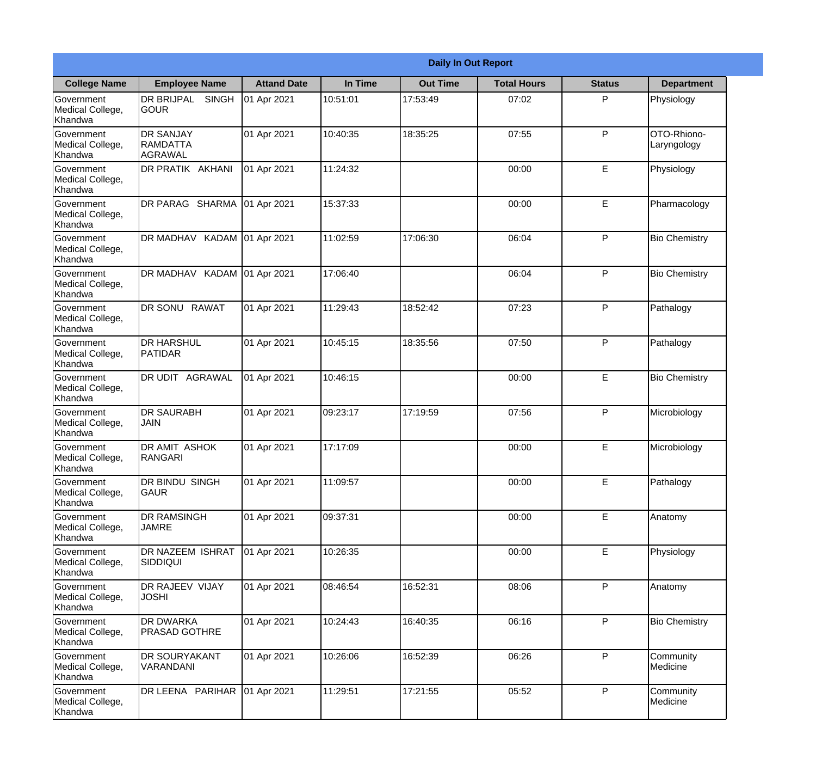|                                                  |                                                       |                    |          | <b>Daily In Out Report</b> |                    |               |                            |
|--------------------------------------------------|-------------------------------------------------------|--------------------|----------|----------------------------|--------------------|---------------|----------------------------|
| <b>College Name</b>                              | <b>Employee Name</b>                                  | <b>Attand Date</b> | In Time  | <b>Out Time</b>            | <b>Total Hours</b> | <b>Status</b> | <b>Department</b>          |
| Government<br>Medical College,<br>Khandwa        | DR BRIJPAL<br><b>SINGH</b><br><b>GOUR</b>             | 01 Apr 2021        | 10:51:01 | 17:53:49                   | 07:02              | P             | Physiology                 |
| Government<br>Medical College,<br>Khandwa        | <b>DR SANJAY</b><br><b>RAMDATTA</b><br><b>AGRAWAL</b> | 01 Apr 2021        | 10:40:35 | 18:35:25                   | 07:55              | P             | OTO-Rhiono-<br>Laryngology |
| <b>Government</b><br>Medical College,<br>Khandwa | <b>DR PRATIK AKHANI</b>                               | 01 Apr 2021        | 11:24:32 |                            | 00:00              | E             | Physiology                 |
| <b>Government</b><br>Medical College,<br>Khandwa | DR PARAG SHARMA                                       | 01 Apr 2021        | 15:37:33 |                            | 00:00              | E             | Pharmacology               |
| Government<br>Medical College,<br>Khandwa        | DR MADHAV KADAM 01 Apr 2021                           |                    | 11:02:59 | 17:06:30                   | 06:04              | P             | <b>Bio Chemistry</b>       |
| Government<br>Medical College,<br>Khandwa        | DR MADHAV KADAM 01 Apr 2021                           |                    | 17:06:40 |                            | 06:04              | P             | <b>Bio Chemistry</b>       |
| <b>Government</b><br>Medical College,<br>Khandwa | DR SONU RAWAT                                         | 01 Apr 2021        | 11:29:43 | 18:52:42                   | 07:23              | P             | Pathalogy                  |
| <b>Government</b><br>Medical College,<br>Khandwa | <b>DR HARSHUL</b><br>PATIDAR                          | 01 Apr 2021        | 10:45:15 | 18:35:56                   | 07:50              | P             | Pathalogy                  |
| Government<br>Medical College,<br>Khandwa        | DR UDIT AGRAWAL                                       | 01 Apr 2021        | 10:46:15 |                            | 00:00              | E             | <b>Bio Chemistry</b>       |
| Government<br>Medical College,<br>Khandwa        | <b>IDR SAURABH</b><br><b>JAIN</b>                     | 01 Apr 2021        | 09:23:17 | 17:19:59                   | 07:56              | P             | Microbiology               |
| Government<br>Medical College,<br>Khandwa        | <b>DR AMIT ASHOK</b><br>RANGARI                       | 01 Apr 2021        | 17:17:09 |                            | 00:00              | E             | Microbiology               |
| Government<br>Medical College,<br>Khandwa        | DR BINDU SINGH<br><b>GAUR</b>                         | 01 Apr 2021        | 11:09:57 |                            | 00:00              | E             | Pathalogy                  |
| Government<br>Medical College,<br>Khandwa        | <b>DR RAMSINGH</b><br><b>JAMRE</b>                    | 01 Apr 2021        | 09:37:31 |                            | 00:00              | E             | Anatomy                    |
| Government<br>Medical College,<br>Khandwa        | <b>DR NAZEEM ISHRAT</b><br><b>SIDDIQUI</b>            | 01 Apr 2021        | 10:26:35 |                            | 00:00              | $\mathsf E$   | Physiology                 |
| Government<br>Medical College,<br>Khandwa        | DR RAJEEV VIJAY<br><b>JOSHI</b>                       | 01 Apr 2021        | 08:46:54 | 16:52:31                   | 08:06              | P             | Anatomy                    |
| Government<br>Medical College,<br>Khandwa        | <b>DR DWARKA</b><br><b>PRASAD GOTHRE</b>              | 01 Apr 2021        | 10:24:43 | 16:40:35                   | 06:16              | P             | <b>Bio Chemistry</b>       |
| Government<br>Medical College,<br>Khandwa        | <b>DR SOURYAKANT</b><br>VARANDANI                     | 01 Apr 2021        | 10:26:06 | 16:52:39                   | 06:26              | P             | Community<br>Medicine      |
| Government<br>Medical College,<br>Khandwa        | DR LEENA PARIHAR                                      | 01 Apr 2021        | 11:29:51 | 17:21:55                   | 05:52              | P             | Community<br>Medicine      |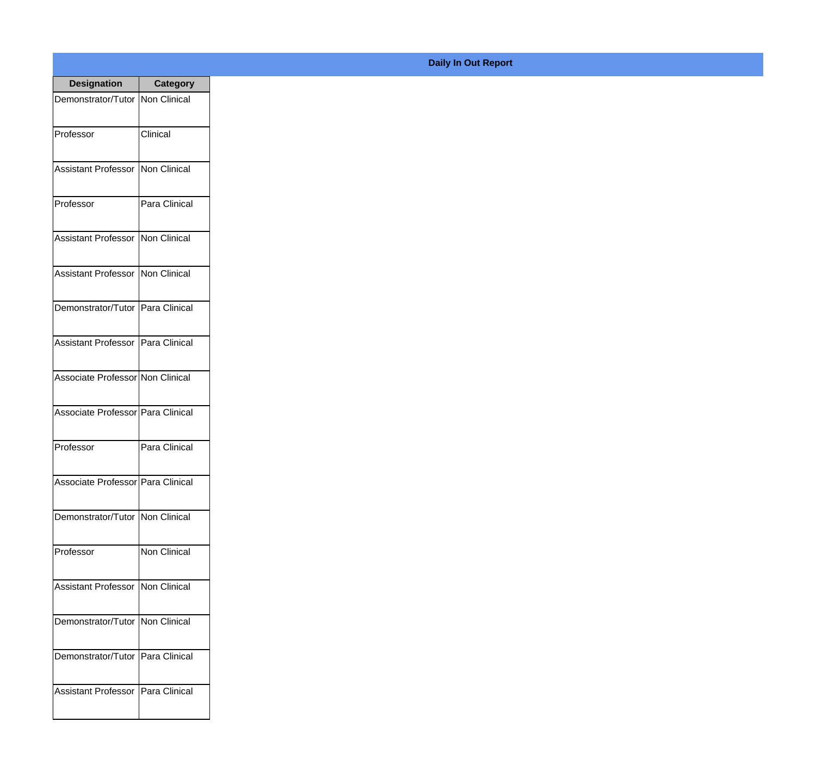| <b>Designation</b>                  | <b>Category</b>     |
|-------------------------------------|---------------------|
| Demonstrator/Tutor   Non Clinical   |                     |
| Professor                           | Clinical            |
| <b>Assistant Professor</b>          | <b>Non Clinical</b> |
| Professor                           | Para Clinical       |
| <b>Assistant Professor</b>          | Non Clinical        |
| <b>Assistant Professor</b>          | <b>Non Clinical</b> |
| Demonstrator/Tutor   Para Clinical  |                     |
| Assistant Professor   Para Clinical |                     |
| Associate Professor Non Clinical    |                     |
| Associate Professor   Para Clinical |                     |
| Professor                           | Para Clinical       |
| Associate Professor   Para Clinical |                     |
| Demonstrator/Tutor   Non Clinical   |                     |
| Professor                           | <b>Non Clinical</b> |
| <b>Assistant Professor</b>          | Non Clinical        |
| Demonstrator/Tutor                  | Non Clinical        |
| Demonstrator/Tutor                  | Para Clinical       |
| <b>Assistant Professor</b>          | Para Clinical       |

## **Daily In Out Report**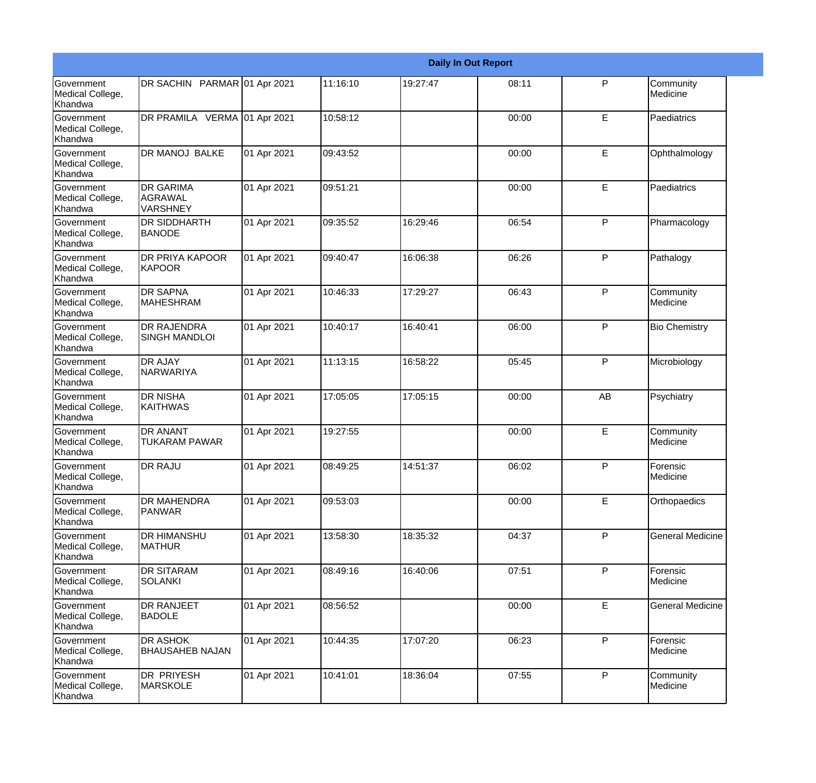|                                                  |                                                       |             |          |          | <b>Daily In Out Report</b> |              |                         |
|--------------------------------------------------|-------------------------------------------------------|-------------|----------|----------|----------------------------|--------------|-------------------------|
| Government<br>Medical College,<br>Khandwa        | DR SACHIN PARMAR 01 Apr 2021                          |             | 11:16:10 | 19:27:47 | 08:11                      | $\mathsf{P}$ | Community<br>Medicine   |
| Government<br>Medical College,<br>Khandwa        | DR PRAMILA VERMA 01 Apr 2021                          |             | 10:58:12 |          | 00:00                      | E            | Paediatrics             |
| <b>Government</b><br>Medical College,<br>Khandwa | <b>DR MANOJ BALKE</b>                                 | 01 Apr 2021 | 09:43:52 |          | 00:00                      | E            | Ophthalmology           |
| Government<br>Medical College,<br>Khandwa        | <b>DR GARIMA</b><br><b>AGRAWAL</b><br><b>VARSHNEY</b> | 01 Apr 2021 | 09:51:21 |          | 00:00                      | E            | Paediatrics             |
| <b>Government</b><br>Medical College,<br>Khandwa | DR SIDDHARTH<br><b>BANODE</b>                         | 01 Apr 2021 | 09:35:52 | 16:29:46 | 06:54                      | $\mathsf{P}$ | Pharmacology            |
| Government<br>Medical College,<br><b>Khandwa</b> | DR PRIYA KAPOOR<br><b>KAPOOR</b>                      | 01 Apr 2021 | 09:40:47 | 16:06:38 | 06:26                      | $\mathsf{P}$ | Pathalogy               |
| Government<br>Medical College,<br>Khandwa        | <b>DR SAPNA</b><br><b>MAHESHRAM</b>                   | 01 Apr 2021 | 10:46:33 | 17:29:27 | 06:43                      | $\mathsf{P}$ | Community<br>Medicine   |
| <b>Government</b><br>Medical College,<br>Khandwa | <b>DR RAJENDRA</b><br><b>SINGH MANDLOI</b>            | 01 Apr 2021 | 10:40:17 | 16:40:41 | 06:00                      | $\mathsf{P}$ | <b>Bio Chemistry</b>    |
| Government<br>Medical College,<br>Khandwa        | <b>DR AJAY</b><br>NARWARIYA                           | 01 Apr 2021 | 11:13:15 | 16:58:22 | 05:45                      | P            | Microbiology            |
| Government<br>Medical College,<br>Khandwa        | <b>DR NISHA</b><br><b>KAITHWAS</b>                    | 01 Apr 2021 | 17:05:05 | 17:05:15 | 00:00                      | AB           | Psychiatry              |
| <b>Government</b><br>Medical College,<br>Khandwa | <b>DR ANANT</b><br><b>TUKARAM PAWAR</b>               | 01 Apr 2021 | 19:27:55 |          | 00:00                      | E            | Community<br>Medicine   |
| Government<br>Medical College,<br>Khandwa        | DR RAJU                                               | 01 Apr 2021 | 08:49:25 | 14:51:37 | 06:02                      | P            | Forensic<br>Medicine    |
| Government<br>Medical College,<br>Khandwa        | DR MAHENDRA<br><b>PANWAR</b>                          | 01 Apr 2021 | 09:53:03 |          | 00:00                      | E            | Orthopaedics            |
| <b>Government</b><br>Medical College,<br>Khandwa | DR HIMANSHU<br><b>MATHUR</b>                          | 01 Apr 2021 | 13:58:30 | 18:35:32 | 04:37                      | P            | <b>General Medicine</b> |
| Government<br>Medical College,<br>Khandwa        | <b>DR SITARAM</b><br><b>SOLANKI</b>                   | 01 Apr 2021 | 08:49:16 | 16:40:06 | 07:51                      | $\mathsf{P}$ | Forensic<br>Medicine    |
| Government<br>Medical College,<br>Khandwa        | DR RANJEET<br><b>BADOLE</b>                           | 01 Apr 2021 | 08:56:52 |          | 00:00                      | E            | <b>General Medicine</b> |
| Government<br>Medical College,<br>Khandwa        | DR ASHOK<br><b>BHAUSAHEB NAJAN</b>                    | 01 Apr 2021 | 10:44:35 | 17:07:20 | 06:23                      | P            | Forensic<br>Medicine    |
| Government<br>Medical College,<br>Khandwa        | DR PRIYESH<br><b>MARSKOLE</b>                         | 01 Apr 2021 | 10:41:01 | 18:36:04 | 07:55                      | P            | Community<br>Medicine   |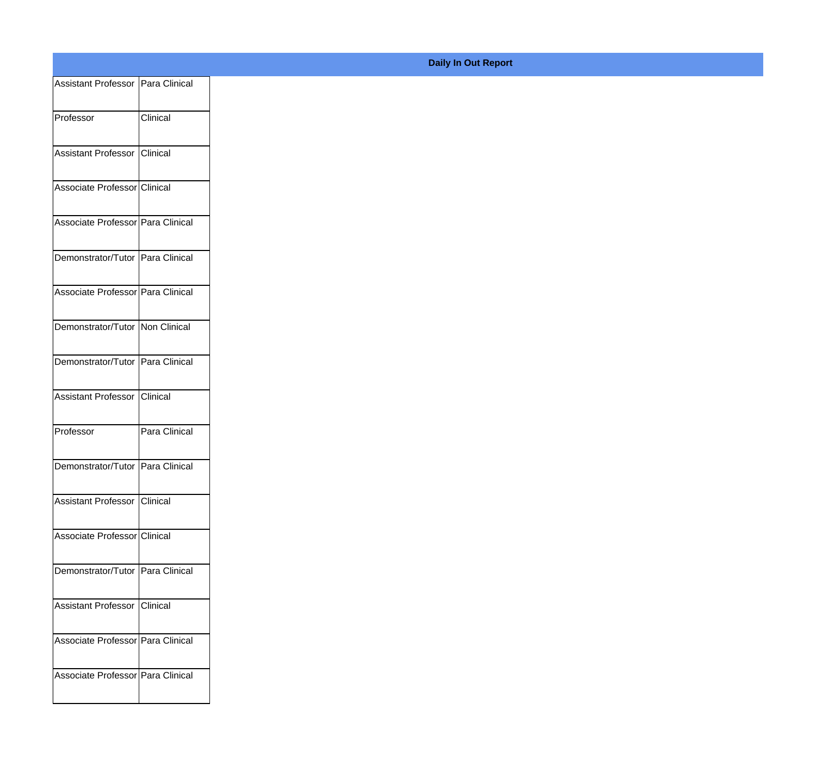| Assistant Professor   Para Clinical |               |
|-------------------------------------|---------------|
| Professor                           | Clinical      |
|                                     |               |
| Assistant Professor                 | Clinical      |
|                                     |               |
| Associate Professor Clinical        |               |
| Associate Professor Para Clinical   |               |
|                                     |               |
| Demonstrator/Tutor Para Clinical    |               |
| Associate Professor Para Clinical   |               |
|                                     |               |
| Demonstrator/Tutor Non Clinical     |               |
| Demonstrator/Tutor Para Clinical    |               |
|                                     |               |
| Assistant Professor                 | Clinical      |
| Professor                           | Para Clinical |
|                                     |               |
| Demonstrator/Tutor Para Clinical    |               |
| Assistant Professor Clinical        |               |
|                                     |               |
| Associate Professor Clinical        |               |
| Demonstrator/Tutor Para Clinical    |               |
|                                     |               |
| Assistant Professor                 | Clinical      |
|                                     |               |
| Associate Professor Para Clinical   |               |
| Associate Professor Para Clinical   |               |
|                                     |               |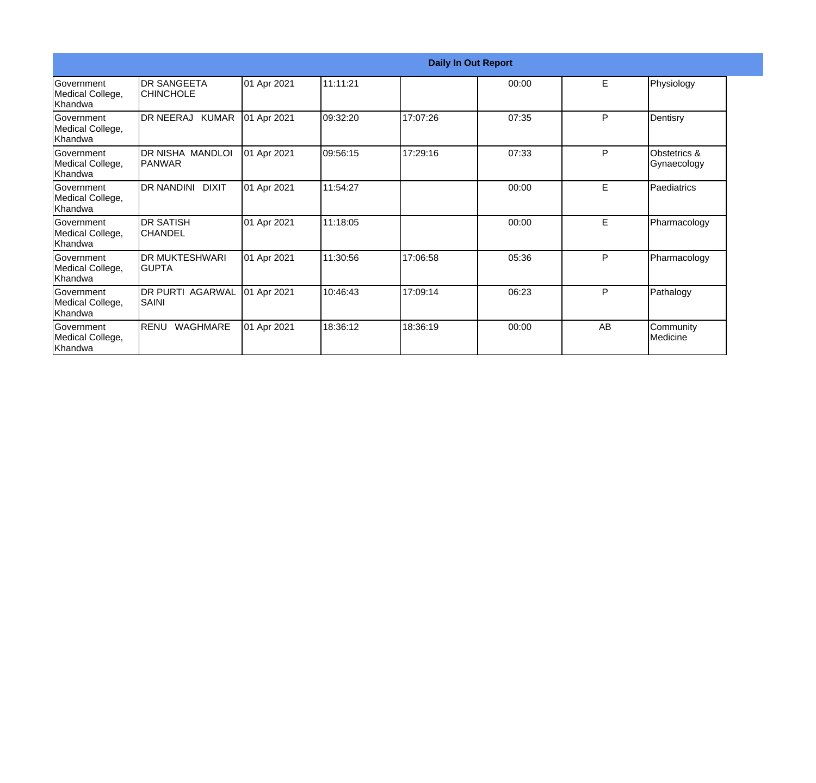|                                                  |                                        |             |          | <b>Daily In Out Report</b> |       |    |                             |
|--------------------------------------------------|----------------------------------------|-------------|----------|----------------------------|-------|----|-----------------------------|
| Government<br>Medical College,<br>Khandwa        | <b>DR SANGEETA</b><br><b>CHINCHOLE</b> | 01 Apr 2021 | 11:11:21 |                            | 00:00 | E  | Physiology                  |
| <b>Government</b><br>Medical College,<br>Khandwa | DR NEERAJ KUMAR                        | 01 Apr 2021 | 09:32:20 | 17:07:26                   | 07:35 | P  | Dentisry                    |
| Government<br>Medical College,<br>Khandwa        | DR NISHA MANDLOI<br>IPANWAR            | 01 Apr 2021 | 09:56:15 | 17:29:16                   | 07:33 | P  | Obstetrics &<br>Gynaecology |
| Government<br>Medical College,<br>Khandwa        | DR NANDINI DIXIT                       | 01 Apr 2021 | 11:54:27 |                            | 00:00 | E  | Paediatrics                 |
| Government<br>Medical College,<br>Khandwa        | <b>DR SATISH</b><br>CHANDEL            | 01 Apr 2021 | 11:18:05 |                            | 00:00 | E  | Pharmacology                |
| <b>Government</b><br>Medical College,<br>Khandwa | <b>IDR MUKTESHWARI</b><br>IGUPTA       | 01 Apr 2021 | 11:30:56 | 17:06:58                   | 05:36 | P  | Pharmacology                |
| <b>Government</b><br>Medical College,<br>Khandwa | <b>DR PURTI AGARWAL</b><br>SAINI       | 01 Apr 2021 | 10:46:43 | 17:09:14                   | 06:23 | P  | Pathalogy                   |
| Government<br>Medical College,<br>Khandwa        | RENU<br>WAGHMARE                       | 01 Apr 2021 | 18:36:12 | 18:36:19                   | 00:00 | AB | Community<br>Medicine       |